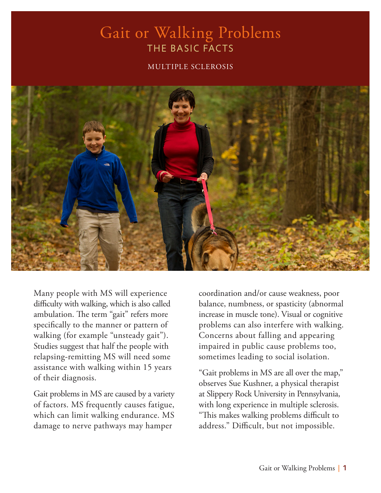#### Gait or Walking Problems THE BASIC FACTS

#### MULTIPLE SCLEROSIS



Many people with MS will experience difficulty with walking, which is also called ambulation. The term "gait" refers more specifically to the manner or pattern of walking (for example "unsteady gait"). Studies suggest that half the people with relapsing-remitting MS will need some assistance with walking within 15 years of their diagnosis.

Gait problems in MS are caused by a variety of factors. MS frequently causes fatigue, which can limit walking endurance. MS damage to nerve pathways may hamper

coordination and/or cause weakness, poor balance, numbness, or spasticity (abnormal increase in muscle tone). Visual or cognitive problems can also interfere with walking. Concerns about falling and appearing impaired in public cause problems too, sometimes leading to social isolation.

"Gait problems in MS are all over the map," observes Sue Kushner, a physical therapist at Slippery Rock University in Pennsylvania, with long experience in multiple sclerosis. "This makes walking problems difficult to address." Difficult, but not impossible.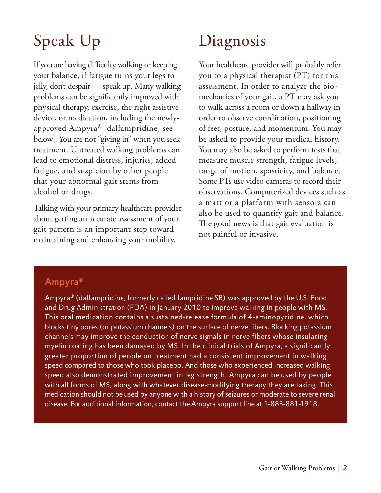# Speak Up

If you are having difficulty walking or keeping your balance, if fatigue turns your legs to jelly, don't despair — speak up. Many walking problems can be significantly improved with physical therapy, exercise, the right assistive device, or medication, including the newlyapproved Ampyra® [dalfampridine, see below]. You are not "giving in" when you seek treatment. Untreated walking problems can lead to emotional distress, injuries, added fatigue, and suspicion by other people that your abnormal gait stems from alcohol or drugs.

Talking with your primary healthcare provider about getting an accurate assessment of your gait pattern is an important step toward maintaining and enhancing your mobility.

# Diagnosis

Your healthcare provider will probably refer you to a physical therapist (PT) for this assessment. In order to analyze the biomechanics of your gait, a PT may ask you to walk across a room or down a hallway in order to observe coordination, positioning of feet, posture, and momentum. You may be asked to provide your medical history. You may also be asked to perform tests that measure muscle strength, fatigue levels, range of motion, spasticity, and balance. Some PTs use video cameras to record their observations. Computerized devices such as a matt or a platform with sensors can also be used to quantify gait and balance. The good news is that gait evaluation is not painful or invasive.

#### Ampyra®

Ampyra® (dalfampridine, formerly called fampridine SR) was approved by the U.S. Food and Drug Administration (FDA) in January 2010 to improve walking in people with MS. This oral medication contains a sustained-release formula of 4-aminopyridine, which blocks tiny pores (or potassium channels) on the surface of nerve fibers. Blocking potassium channels may improve the conduction of nerve signals in nerve fibers whose insulating myelin coating has been damaged by MS. In the clinical trials of Ampyra, a significantly greater proportion of people on treatment had a consistent improvement in walking speed compared to those who took placebo. And those who experienced increased walking speed also demonstrated improvement in leg strength. Ampyra can be used by people with all forms of MS, along with whatever disease-modifying therapy they are taking. This medication should not be used by anyone with a history of seizures or moderate to severe renal disease. For additional information, contact the Ampyra support line at 1-888-881-1918.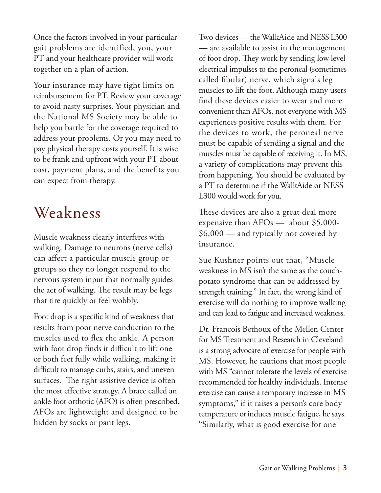Once the factors involved in your particular gait problems are identified, you, your PT and your healthcare provider will work together on a plan of action.

Your insurance may have tight limits on reimbursement for PT. Review your coverage to avoid nasty surprises. Your physician and the National MS Society may be able to help you battle for the coverage required to address your problems. Or you may need to pay physical therapy costs yourself. It is wise to be frank and upfront with your PT about cost, payment plans, and the benefits you can expect from therapy.

### Weakness

Muscle weakness clearly interferes with walking. Damage to neurons (nerve cells) can affect a particular muscle group or groups so they no longer respond to the nervous system input that normally guides the act of walking. The result may be legs that tire quickly or feel wobbly.

Foot drop is a specific kind of weakness that results from poor nerve conduction to the muscles used to flex the ankle. A person with foot drop finds it difficult to lift one or both feet fully while walking, making it difficult to manage curbs, stairs, and uneven surfaces. The right assistive device is often the most effective strategy. A brace called an ankle-foot orthotic (AFO) is often prescribed. AFOs are lightweight and designed to be hidden by socks or pant legs.

Two devices — the WalkAide and NESS L300 — are available to assist in the management of foot drop. They work by sending low level electrical impulses to the peroneal (sometimes called fibular) nerve, which signals leg muscles to lift the foot. Although many users find these devices easier to wear and more convenient than AFOs, not everyone with MS experiences positive results with them. For the devices to work, the peroneal nerve must be capable of sending a signal and the muscles must be capable of receiving it. In MS, a variety of complications may prevent this from happening. You should be evaluated by a PT to determine if the WalkAide or NESS L300 would work for you.

These devices are also a great deal more expensive than AFOs — about \$5,000- \$6,000 — and typically not covered by insurance.

Sue Kushner points out that, "Muscle weakness in MS isn't the same as the couchpotato syndrome that can be addressed by strength training." In fact, the wrong kind of exercise will do nothing to improve walking and can lead to fatigue and increased weakness.

Dr. Francois Bethoux of the Mellen Center for MS Treatment and Research in Cleveland is a strong advocate of exercise for people with MS. However, he cautions that most people with MS "cannot tolerate the levels of exercise recommended for healthy individuals. Intense exercise can cause a temporary increase in MS symptoms," if it raises a person's core body temperature or induces muscle fatigue, he says. "Similarly, what is good exercise for one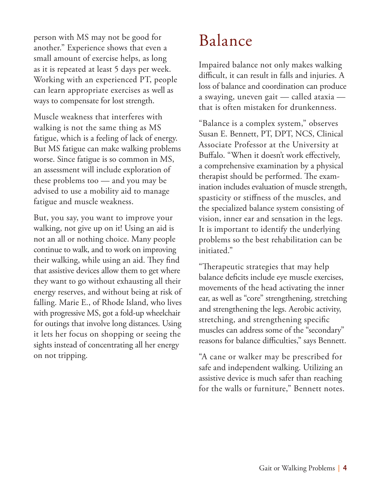person with MS may not be good for another." Experience shows that even a small amount of exercise helps, as long as it is repeated at least 5 days per week. Working with an experienced PT, people can learn appropriate exercises as well as ways to compensate for lost strength.

Muscle weakness that interferes with walking is not the same thing as MS fatigue, which is a feeling of lack of energy. But MS fatigue can make walking problems worse. Since fatigue is so common in MS, an assessment will include exploration of these problems too — and you may be advised to use a mobility aid to manage fatigue and muscle weakness.

But, you say, you want to improve your walking, not give up on it! Using an aid is not an all or nothing choice. Many people continue to walk, and to work on improving their walking, while using an aid. They find that assistive devices allow them to get where they want to go without exhausting all their energy reserves, and without being at risk of falling. Marie E., of Rhode Island, who lives with progressive MS, got a fold-up wheelchair for outings that involve long distances. Using it lets her focus on shopping or seeing the sights instead of concentrating all her energy on not tripping.

## Balance

Impaired balance not only makes walking difficult, it can result in falls and injuries. A loss of balance and coordination can produce a swaying, uneven gait — called ataxia that is often mistaken for drunkenness.

"Balance is a complex system," observes Susan E. Bennett, PT, DPT, NCS, Clinical Associate Professor at the University at Buffalo. "When it doesn't work effectively, a comprehensive examination by a physical therapist should be performed. The examination includes evaluation of muscle strength, spasticity or stiffness of the muscles, and the specialized balance system consisting of vision, inner ear and sensation in the legs. It is important to identify the underlying problems so the best rehabilitation can be initiated."

"Therapeutic strategies that may help balance deficits include eye muscle exercises, movements of the head activating the inner ear, as well as "core" strengthening, stretching and strengthening the legs. Aerobic activity, stretching, and strengthening specific muscles can address some of the "secondary" reasons for balance difficulties," says Bennett.

"A cane or walker may be prescribed for safe and independent walking. Utilizing an assistive device is much safer than reaching for the walls or furniture," Bennett notes.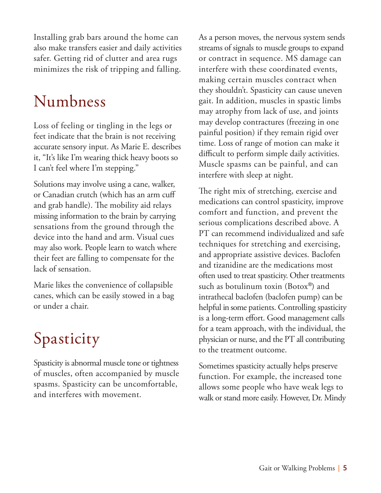Installing grab bars around the home can also make transfers easier and daily activities safer. Getting rid of clutter and area rugs minimizes the risk of tripping and falling.

### Numbness

Loss of feeling or tingling in the legs or feet indicate that the brain is not receiving accurate sensory input. As Marie E. describes it, "It's like I'm wearing thick heavy boots so I can't feel where I'm stepping."

Solutions may involve using a cane, walker, or Canadian crutch (which has an arm cuff and grab handle). The mobility aid relays missing information to the brain by carrying sensations from the ground through the device into the hand and arm. Visual cues may also work. People learn to watch where their feet are falling to compensate for the lack of sensation.

Marie likes the convenience of collapsible canes, which can be easily stowed in a bag or under a chair.

## Spasticity

Spasticity is abnormal muscle tone or tightness of muscles, often accompanied by muscle spasms. Spasticity can be uncomfortable, and interferes with movement.

As a person moves, the nervous system sends streams of signals to muscle groups to expand or contract in sequence. MS damage can interfere with these coordinated events, making certain muscles contract when they shouldn't. Spasticity can cause uneven gait. In addition, muscles in spastic limbs may atrophy from lack of use, and joints may develop contractures (freezing in one painful position) if they remain rigid over time. Loss of range of motion can make it difficult to perform simple daily activities. Muscle spasms can be painful, and can interfere with sleep at night.

The right mix of stretching, exercise and medications can control spasticity, improve comfort and function, and prevent the serious complications described above. A PT can recommend individualized and safe techniques for stretching and exercising, and appropriate assistive devices. Baclofen and tizanidine are the medications most often used to treat spasticity. Other treatments such as botulinum toxin (Botox®) and intrathecal baclofen (baclofen pump) can be helpful in some patients. Controlling spasticity is a long-term effort. Good management calls for a team approach, with the individual, the physician or nurse, and the PT all contributing to the treatment outcome.

Sometimes spasticity actually helps preserve function. For example, the increased tone allows some people who have weak legs to walk or stand more easily. However, Dr. Mindy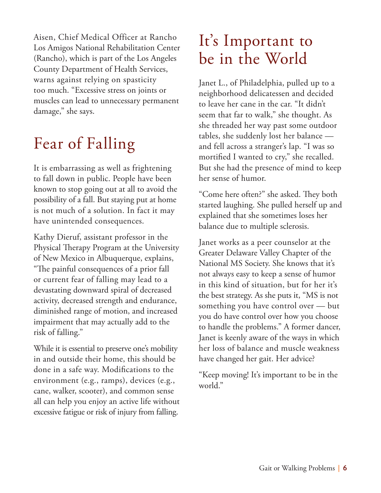Aisen, Chief Medical Officer at Rancho Los Amigos National Rehabilitation Center (Rancho), which is part of the Los Angeles County Department of Health Services, warns against relying on spasticity too much. "Excessive stress on joints or muscles can lead to unnecessary permanent damage," she says.

## Fear of Falling

It is embarrassing as well as frightening to fall down in public. People have been known to stop going out at all to avoid the possibility of a fall. But staying put at home is not much of a solution. In fact it may have unintended consequences.

Kathy Dieruf, assistant professor in the Physical Therapy Program at the University of New Mexico in Albuquerque, explains, "The painful consequences of a prior fall or current fear of falling may lead to a devastating downward spiral of decreased activity, decreased strength and endurance, diminished range of motion, and increased impairment that may actually add to the risk of falling."

While it is essential to preserve one's mobility in and outside their home, this should be done in a safe way. Modifications to the environment (e.g., ramps), devices (e.g., cane, walker, scooter), and common sense all can help you enjoy an active life without excessive fatigue or risk of injury from falling.

## It's Important to be in the World

Janet L., of Philadelphia, pulled up to a neighborhood delicatessen and decided to leave her cane in the car. "It didn't seem that far to walk," she thought. As she threaded her way past some outdoor tables, she suddenly lost her balance and fell across a stranger's lap. "I was so mortified I wanted to cry," she recalled. But she had the presence of mind to keep her sense of humor.

"Come here often?" she asked. They both started laughing. She pulled herself up and explained that she sometimes loses her balance due to multiple sclerosis.

Janet works as a peer counselor at the Greater Delaware Valley Chapter of the National MS Society. She knows that it's not always easy to keep a sense of humor in this kind of situation, but for her it's the best strategy. As she puts it, "MS is not something you have control over — but you do have control over how you choose to handle the problems." A former dancer, Janet is keenly aware of the ways in which her loss of balance and muscle weakness have changed her gait. Her advice?

"Keep moving! It's important to be in the world."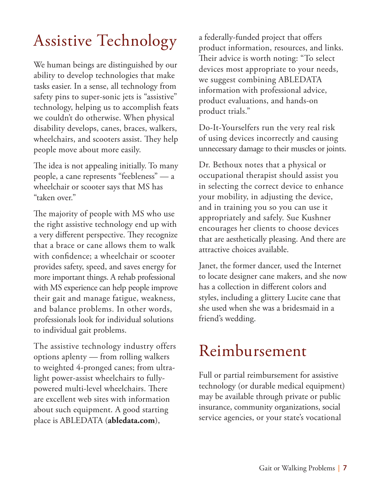## Assistive Technology

We human beings are distinguished by our ability to develop technologies that make tasks easier. In a sense, all technology from safety pins to super-sonic jets is "assistive" technology, helping us to accomplish feats we couldn't do otherwise. When physical disability develops, canes, braces, walkers, wheelchairs, and scooters assist. They help people move about more easily.

The idea is not appealing initially. To many people, a cane represents "feebleness" — a wheelchair or scooter says that MS has "taken over."

The majority of people with MS who use the right assistive technology end up with a very different perspective. They recognize that a brace or cane allows them to walk with confidence; a wheelchair or scooter provides safety, speed, and saves energy for more important things. A rehab professional with MS experience can help people improve their gait and manage fatigue, weakness, and balance problems. In other words, professionals look for individual solutions to individual gait problems.

The assistive technology industry offers options aplenty — from rolling walkers to weighted 4-pronged canes; from ultralight power-assist wheelchairs to fullypowered multi-level wheelchairs. There are excellent web sites with information about such equipment. A good starting place is ABLEDATA (**abledata.com**),

a federally-funded project that offers product information, resources, and links. Their advice is worth noting: "To select devices most appropriate to your needs, we suggest combining ABLEDATA information with professional advice, product evaluations, and hands-on product trials."

Do-It-Yourselfers run the very real risk of using devices incorrectly and causing unnecessary damage to their muscles or joints.

Dr. Bethoux notes that a physical or occupational therapist should assist you in selecting the correct device to enhance your mobility, in adjusting the device, and in training you so you can use it appropriately and safely. Sue Kushner encourages her clients to choose devices that are aesthetically pleasing. And there are attractive choices available.

Janet, the former dancer, used the Internet to locate designer cane makers, and she now has a collection in different colors and styles, including a glittery Lucite cane that she used when she was a bridesmaid in a friend's wedding.

### Reimbursement

Full or partial reimbursement for assistive technology (or durable medical equipment) may be available through private or public insurance, community organizations, social service agencies, or your state's vocational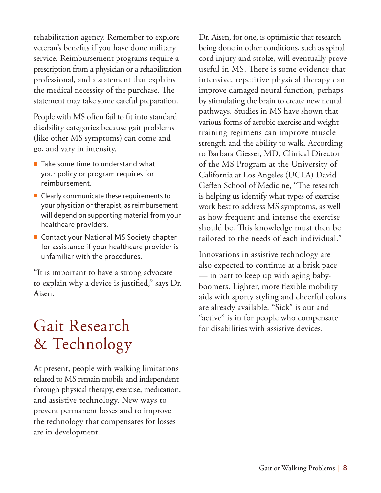rehabilitation agency. Remember to explore veteran's benefits if you have done military service. Reimbursement programs require a prescription from a physician or a rehabilitation professional, and a statement that explains the medical necessity of the purchase. The statement may take some careful preparation.

People with MS often fail to fit into standard disability categories because gait problems (like other MS symptoms) can come and go, and vary in intensity.

- $\blacksquare$  Take some time to understand what your policy or program requires for reimbursement.
- $\blacksquare$  Clearly communicate these requirements to your physician or therapist, as reimbursement will depend on supporting material from your healthcare providers.
- $\blacksquare$  Contact your National MS Society chapter for assistance if your healthcare provider is unfamiliar with the procedures.

"It is important to have a strong advocate to explain why a device is justified," says Dr. Aisen.

## Gait Research & Technology

At present, people with walking limitations related to MS remain mobile and independent through physical therapy, exercise, medication, and assistive technology. New ways to prevent permanent losses and to improve the technology that compensates for losses are in development.

Dr. Aisen, for one, is optimistic that research being done in other conditions, such as spinal cord injury and stroke, will eventually prove useful in MS. There is some evidence that intensive, repetitive physical therapy can improve damaged neural function, perhaps by stimulating the brain to create new neural pathways. Studies in MS have shown that various forms of aerobic exercise and weight training regimens can improve muscle strength and the ability to walk. According to Barbara Giesser, MD, Clinical Director of the MS Program at the University of California at Los Angeles (UCLA) David Geffen School of Medicine, "The research is helping us identify what types of exercise work best to address MS symptoms, as well as how frequent and intense the exercise should be. This knowledge must then be tailored to the needs of each individual."

Innovations in assistive technology are also expected to continue at a brisk pace — in part to keep up with aging babyboomers. Lighter, more flexible mobility aids with sporty styling and cheerful colors are already available. "Sick" is out and "active" is in for people who compensate for disabilities with assistive devices.